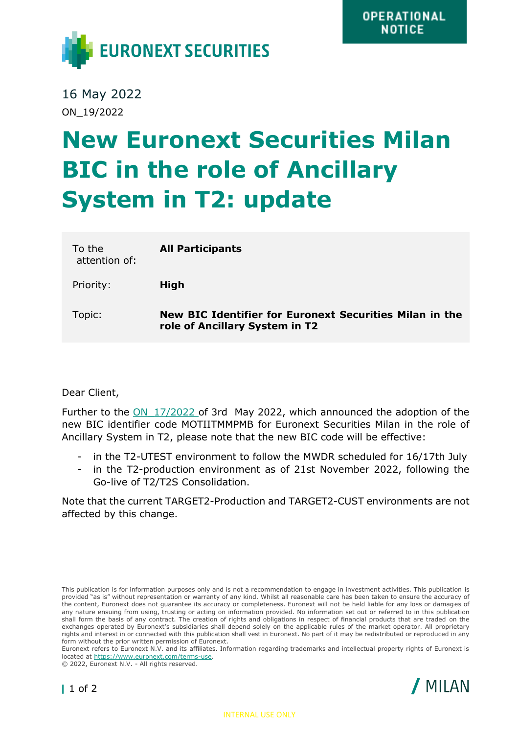

16 May 2022 ON\_19/2022

## **New Euronext Securities Milan BIC in the role of Ancillary System in T2: update**

| To the<br>attention of: | <b>All Participants</b>                                                                   |
|-------------------------|-------------------------------------------------------------------------------------------|
| Priority:               | <b>High</b>                                                                               |
| Topic:                  | New BIC Identifier for Euronext Securities Milan in the<br>role of Ancillary System in T2 |

Dear Client,

Further to the ON 17/2022 of 3rd May 2022, which announced the adoption of the new BIC identifier code MOTIITMMPMB for Euronext Securities Milan in the role of Ancillary System in T2, please note that the new BIC code will be effective:

- in the T2-UTEST environment to follow the MWDR scheduled for 16/17th July
- in the T2-production environment as of 21st November 2022, following the Go-live of T2/T2S Consolidation.

Note that the current TARGET2-Production and TARGET2-CUST environments are not affected by this change.





This publication is for information purposes only and is not a recommendation to engage in investment activities. This publication is provided "as is" without representation or warranty of any kind. Whilst all reasonable care has been taken to ensure the accuracy of the content, Euronext does not guarantee its accuracy or completeness. Euronext will not be held liable for any loss or damages of any nature ensuing from using, trusting or acting on information provided. No information set out or referred to in this publication shall form the basis of any contract. The creation of rights and obligations in respect of financial products that are traded on the exchanges operated by Euronext's subsidiaries shall depend solely on the applicable rules of the market operator. All proprietary rights and interest in or connected with this publication shall vest in Euronext. No part of it may be redistributed or reproduced in any form without the prior written permission of Euronext.

Euronext refers to Euronext N.V. and its affiliates. Information regarding trademarks and intellectual property rights of Euronext is located at [https://www.euronext.com/terms-use.](https://www.euronext.com/terms-use)